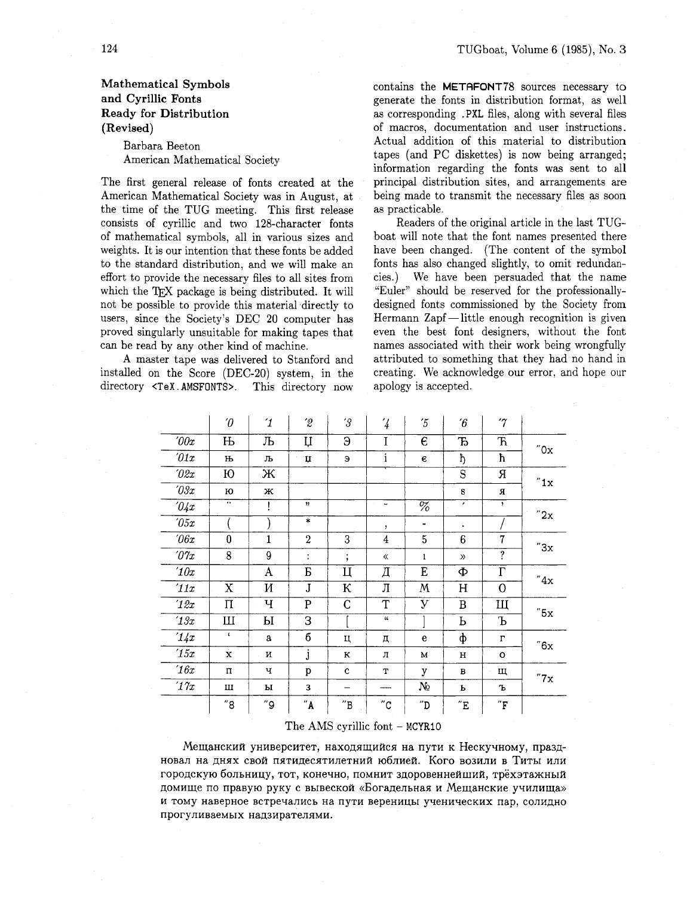## Barbara Beeton American Mathematical Society

The first general release of fonts created at the American Mathematical Society was in August, at the time of the TUG meeting. This first release consists of cyrillic and two 128-character fonts of mathematical symbols, all in various sizes and weights. It is our intention that these fonts be added to the standard distribution, and we will make an effort to provide the necessary files to all sites from which the TFX package is being distributed. It will not be possible to provide this material directly to users, since the Society's DEC 20 computer has proved singularly unsuitable for making tapes that can be read by any other kind of machine.

A master tape was delivered to Stanford and installed on the Score (DEC-20) system, in the directory <TeX.AMSFONTS>. This directory now contains the METAFONT78 sources necessary to generate the fonts in distribution format, as well as corresponding .PXL files, along with several files of macros, documentation and user instructions. Actual addition of this material to distribution tapes (and PC diskettes) is now being arranged; information regarding the fonts was sent to all principal distribution sites, and arrangements are being made to transmit the necessary files as soon as practicable.

Readers of the original article in the last TUGboat will note that the font names presented there have been changed. (The content of the symbol fonts has also changed slightly, to omit redundan-We have been persuaded that the name cies.) "Euler" should be reserved for the professionallydesigned fonts commissioned by the Society from Hermann Zapf—little enough recognition is given even the best font designers, without the font names associated with their work being wrongfully attributed to something that they had no hand in creating. We acknowledge our error, and hope our apology is accepted.

|                        | $\theta$           | $\mathbf 1$ | $\hat{z}$               | $^{\prime}3$        | $\overline{4}$                        | $\tilde{5}$                  | $\hat{b}$                | $\gamma$                 |                     |
|------------------------|--------------------|-------------|-------------------------|---------------------|---------------------------------------|------------------------------|--------------------------|--------------------------|---------------------|
| $\partial \theta x$    | $\mathbf{H}$       | Љ           | Ų                       | Э                   | I                                     | $\epsilon$                   | Ъ                        | $\mathbf F$              | "0x                 |
| $\partial 1x$          | Њ                  | љ           | ц                       | Э                   | i                                     | $\boldsymbol{\epsilon}$      | ħ                        | ħ                        |                     |
| 702x                   | Ю                  | Ж           |                         |                     |                                       |                              | S                        | Я                        | $^{\prime\prime}1x$ |
| $\partial \vartheta x$ | ю                  | ж           |                         |                     |                                       |                              | ${\bf S}$                | Я                        |                     |
| $\partial \mathcal{L}$ | $\cdot$            |             | , 2                     |                     | $\lambda$<br>$\overline{\phantom{0}}$ | $\overline{\%}$              | $\overline{\phantom{a}}$ | $\overline{ }$           | "2x                 |
| $\sqrt{0.5x}$          |                    |             | $\ast$                  |                     | $\mathbf{r}$                          | ٠                            | ٠                        |                          |                     |
| $\theta$ f $x$         | $\bf{0}$           | $\mathbf 1$ | $\overline{2}$          | 3                   | $\overline{4}$                        | 5                            | 6                        | 7                        | "3x                 |
| $\partial \gamma_x$    | 8                  | 9           | ÷                       | ٠<br>$\cdot$        | ≪                                     | 1                            | $\gg$                    | ŗ.                       |                     |
| 10x                    |                    | A           | Б                       | Ц                   | Д                                     | E                            | Ф                        | $\overline{\Gamma}$      | $^{\prime\prime}4x$ |
| '11x                   | $\mathbf X$        | И           | $\overline{\mathbf{J}}$ | К                   | Л                                     | M                            | $H_{\rm 2}$              | $\overline{0}$           |                     |
| 12x                    | $\Pi$              | Ч           | $\mathbf{P}$            | $\mathsf{C}$        | $\overline{\text{T}}$                 | У                            | B                        | Щ                        | "5x                 |
| 13x                    | Ш                  | Ы           | 3                       |                     | $\mathfrak{c}$                        |                              | Ь                        | Ъ                        |                     |
| 14x                    | $\mathbf{C}$       | a           | б                       | ц                   | д                                     | e                            | ф                        | г                        | "6x                 |
| 15x                    | $\dot{\mathbf{x}}$ | И           | j                       | К                   | л                                     | M                            | н                        | O                        |                     |
| 16x                    | $\Pi$              | ч           | p                       | $\mathbf c$         | т                                     | y                            | $\bf{B}$                 | щ                        | "7x                 |
| $^\prime 17x$          | Ш                  | ы           | 3                       |                     |                                       | No                           | ь                        | Ъ                        |                     |
|                        | "8                 | "9          | $"$ A                   | $^{\prime\prime}$ B | $^{\prime\prime} \text{C}$            | $^{\prime\prime} \mathrm{D}$ | $^{\prime\prime}$ E      | $^{\prime\prime}{\rm F}$ |                     |
|                        |                    |             |                         |                     |                                       |                              |                          |                          |                     |

The AMS cyrillic font  $-$  MCYR10

Мещанский университет, находящийся на пути к Нескучному, праздновал на днях свой пятидесятилетний юблией. Кого возили в Титы или городскую больницу, тот, конечно, помнит здоровеннейший, трёхэтажный домище по правую руку с вывеской «Богадельная и Мещанские училища» и тому наверное встречались на пути вереницы ученических пар, солидно прогуливаемых надзирателями.

124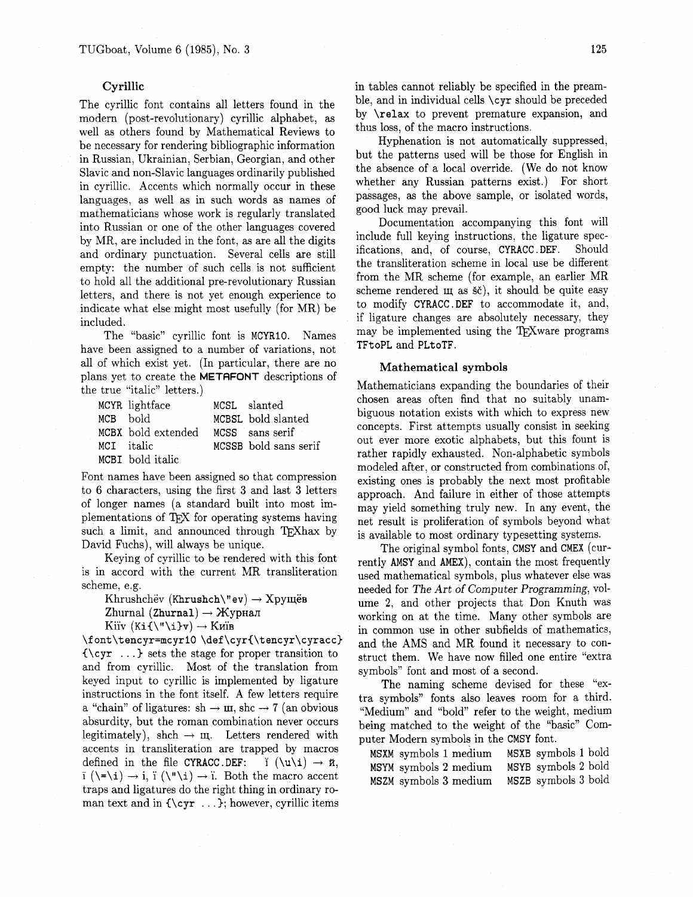## **Cyrillic**

The cyrillic font contains all letters found in the modern (post-revolutionary) cyrillic alphabet, as well as others found by Mathematical Reviews to be necessary for rendering bibliographic information in Russian, Ukrainian, Serbian, Georgian, and other Slavic and non-Slavic languages ordinarily published in cyrillic. Accents which normally occur in these languages, as well as in such words **as** names of mathematicians whose work is regularly translated into Russian or one of the other languages covered by MR, are included in the font, as are all the digits and ordinary punctuation. Several cells are still empty: the number of such cells is not sufficient to hold all the additional pre-revolutionary Russian letters, and there is not yet enough experience to indicate what else might most usefully (for MR) be included.

The "basic" cyrillic font is MCYRIO. Names have been assigned to a number of variations, not all of which exist yet. (In particular, there are no plans yet to create the METAFONT descriptions of the true "italic" letters.)

| MCYR lightface     | MCSL slanted          |
|--------------------|-----------------------|
| MCB hold           | MCBSL bold slanted    |
| MCBX bold extended | MCSS sans serif       |
| MCI italic         | MCSSB bold sans serif |
| MCBI bold italic   |                       |

Font names have been assigned so that compression to 6 characters, using the first **3** and last **3** letters of longer names (a standard built into most implementations of TFX for operating systems having such a limit, and announced through TFXhax by David Fuchs), will always be unique.

Keying of cyrillic to be rendered with this font is in accord with the current MR transliteration scheme, e.g.

Khrushchëv (Khrushch\"ev)  $\rightarrow$  Xpymës

Zhurnal (Zhurnal)  $\rightarrow$  Журнал

Kiiv  $(Ki\{\langle \ulcorner \setminus i \rbrace \mathbf{v}) \rightarrow K\mathbf{u}$ ib

\font\tencyr=mcyrlO **\def\cyr{\tencyr\cyracc)**  (\cyr . . .) sets the stage for proper transition to and from cyrillic. Most of the translation from keyed input to cyrillic is implemented by ligature instructions in the font itself. A few letters require a "chain" of ligatures:  $sh \rightarrow \text{m}$ ,  $shc \rightarrow 7$  (an obvious absurdity, but the roman combination never occurs legitimately), shch  $\rightarrow \mu$ . Letters rendered with accents in transliteration are trapped by macros defined in the file CYRACC.DEF:  $\check{\mathrm{I}}$   $(\u\iota) \rightarrow \check{\mathrm{n}}$ ,  $\overline{i}$  ( $\overline{i}$ )  $\rightarrow$  i,  $\overline{i}$  ( $\overline{i}$ )  $\rightarrow$   $\overline{i}$ . Both the macro accent traps and ligatures do the right thing in ordinary roman text and in  ${\\cyr \ ...}$ ; however, cyrillic items

in tables cannot reliably be specified in the preamble, and in individual cells \cyr should be preceded by \relax to prevent premature expansion, and thus loss, of the macro instructions.

Hyphenation is not automatically suppressed, but the patterns used will be those for English in the absence of a local override. (We do not know whether any Russian patterns exist.) For short passages, as the above sample, or isolated words, good luck may prevail.

Documentation accompanying this font will include full keying instructions, the ligature specifications, and, of course, CYRACC, DEF. Should ifications, and, of course, CYRACC . DEF. the transliteration scheme in local use be different from the MR scheme (for example, an earlier MR scheme rendered  $\mu$  as  $\check{s}\check{c}$ , it should be quite easy to modify CYRACC .DEF to accommodate it, and, if ligature changes are absolutely necessary, they may be implemented using the TEXware programs TFt oPL and PLtoTF.

## **Mathematical symbols**

Mathematicians expanding the boundaries of their chosen areas often find that no suitably unambiguous notation exists with which to express new concepts. First attempts usually consist in seeking out ever more exotic alphabets, but this fount is rather rapidly exhausted. Non-alphabetic symbols modeled after, or constructed from combinations of, existing ones is probably the next most profitable approach. And failure in either of those attempts may yield something truly new. In any event, the net result is proliferation of symbols beyond what is available to most ordinary typesetting systems.

The original symbol fonts, CMSY and CMEX (currently AMSY and AMEX), contain the most frequently used mathematical symbols, plus whatever else was needed for The Art of Computer Programming, volume 2, and other projects that Don Knuth was working on at the time. Many other symbols are in common use in other subfields of mathematics, and the AMS and MR found it necessary to construct them. We have now filled one entire "extra symbols" font and most of a second.

The naming scheme devised for these "extra symbols" fonts also leaves room for a third. "Medium" and "bold" refer to the weight, medium being matched to the weight of the "basic" Computer Modern symbols in the CMSY font.

MSXM symbols 1 medium MSXB symbols 1 bold MSYM symbols 2 medium MSZM symbols **3** medium MSZB symbols **3** bold